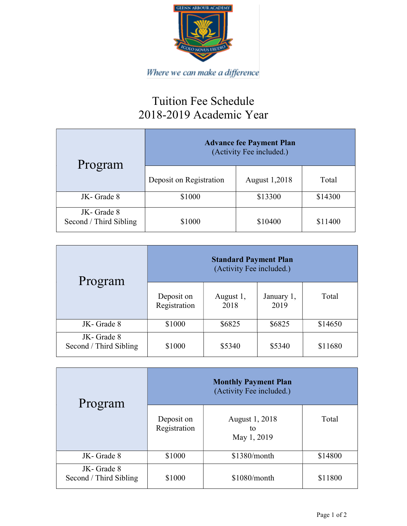

## Tuition Fee Schedule 2018-2019 Academic Year

| Program                              | <b>Advance fee Payment Plan</b><br>(Activity Fee included.) |                      |         |  |
|--------------------------------------|-------------------------------------------------------------|----------------------|---------|--|
|                                      | Deposit on Registration                                     | <b>August 1,2018</b> | Total   |  |
| JK-Grade 8                           | \$1000                                                      | \$13300              | \$14300 |  |
| JK-Grade 8<br>Second / Third Sibling | \$1000                                                      | \$10400              | \$11400 |  |

| Program                              | <b>Standard Payment Plan</b><br>(Activity Fee included.) |                   |                    |         |
|--------------------------------------|----------------------------------------------------------|-------------------|--------------------|---------|
|                                      | Deposit on<br>Registration                               | August 1,<br>2018 | January 1,<br>2019 | Total   |
| JK-Grade 8                           | \$1000                                                   | \$6825            | \$6825             | \$14650 |
| JK-Grade 8<br>Second / Third Sibling | \$1000                                                   | \$5340            | \$5340             | \$11680 |

| Program                              | <b>Monthly Payment Plan</b><br>(Activity Fee included.) |                                     |         |
|--------------------------------------|---------------------------------------------------------|-------------------------------------|---------|
|                                      | Deposit on<br>Registration                              | August 1, 2018<br>to<br>May 1, 2019 | Total   |
| JK-Grade 8                           | \$1000                                                  | $$1380/m$ onth                      | \$14800 |
| JK-Grade 8<br>Second / Third Sibling | \$1000                                                  | \$1080/month                        | \$11800 |